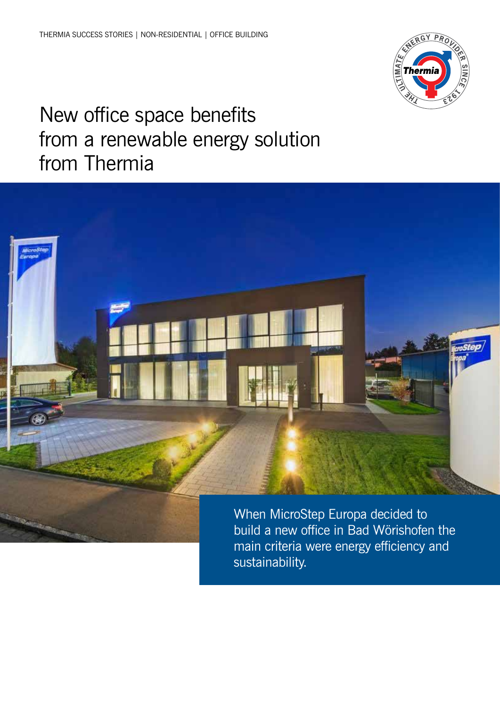

# New office space benefits from a renewable energy solution from Thermia



build a new office in Bad Wörishofen the main criteria were energy efficiency and sustainability.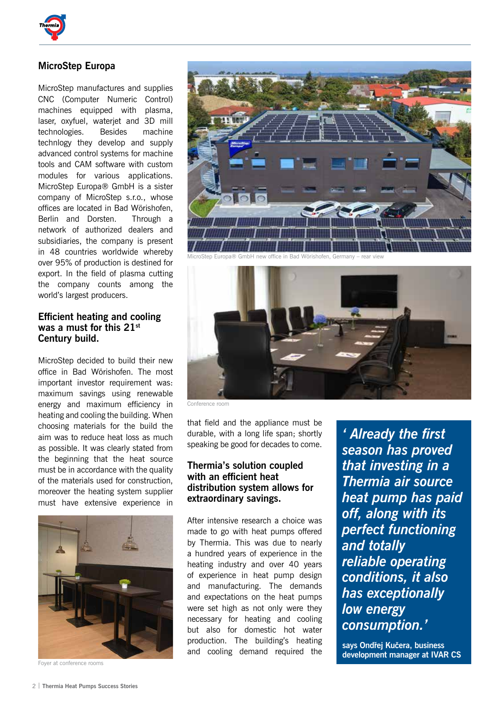

## **MicroStep Europa**

MicroStep manufactures and supplies CNC (Computer Numeric Control) machines equipped with plasma, laser, oxyfuel, waterjet and 3D mill technologies. Besides machine technlogy they develop and supply advanced control systems for machine tools and CAM software with custom modules for various applications. MicroStep Europa® GmbH is a sister company of MicroStep s.r.o., whose offices are located in Bad Wörishofen, Berlin and Dorsten. Through a network of authorized dealers and subsidiaries, the company is present in 48 countries worldwide whereby over 95% of production is destined for export. In the field of plasma cutting the company counts among the world's largest producers.

### **Efficient heating and cooling was a must for this 21st Century build.**

MicroStep decided to build their new office in Bad Wörishofen. The most important investor requirement was: maximum savings using renewable energy and maximum efficiency in heating and cooling the building. When choosing materials for the build the aim was to reduce heat loss as much as possible. It was clearly stated from the beginning that the heat source must be in accordance with the quality of the materials used for construction, moreover the heating system supplier must have extensive experience in



Foyer at conference rooms



MicroStep Europa® GmbH new office in Bad Wörishofen, Germany – rear view



Conference room

that field and the appliance must be durable, with a long life span; shortly speaking be good for decades to come.

### **Thermia's solution coupled with an efficient heat distribution system allows for extraordinary savings.**

After intensive research a choice was made to go with heat pumps offered by Thermia. This was due to nearly a hundred years of experience in the heating industry and over 40 years of experience in heat pump design and manufacturing. The demands and expectations on the heat pumps were set high as not only were they necessary for heating and cooling but also for domestic hot water production. The building's heating and cooling demand required the

*' Already the first season has proved that investing in a Thermia air source heat pump has paid off, along with its perfect functioning and totally reliable operating conditions, it also has exceptionally low energy consumption.'* 

**says Ondřej Kučera, business development manager at IVAR CS**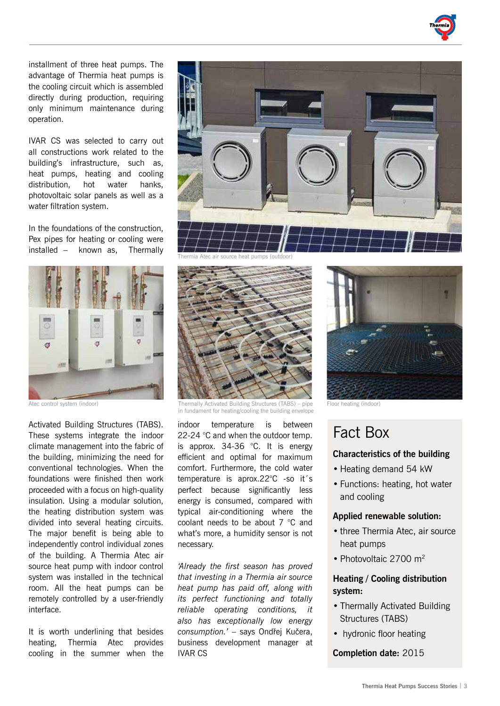installment of three heat pumps. The advantage of Thermia heat pumps is the cooling circuit which is assembled directly during production, requiring only minimum maintenance during operation.

IVAR CS was selected to carry out all constructions work related to the building's infrastructure, such as, heat pumps, heating and cooling distribution, hot water hanks, photovoltaic solar panels as well as a water filtration system.

In the foundations of the construction, Pex pipes for heating or cooling were installed – known as, Thermally



Atec control system (indoor)

Activated Building Structures (TABS). These systems integrate the indoor climate management into the fabric of the building, minimizing the need for conventional technologies. When the foundations were finished then work proceeded with a focus on high-quality insulation. Using a modular solution, the heating distribution system was divided into several heating circuits. The major benefit is being able to independently control individual zones of the building. A Thermia Atec air source heat pump with indoor control system was installed in the technical room. All the heat pumps can be remotely controlled by a user-friendly interface.

It is worth underlining that besides heating, Thermia Atec provides cooling in the summer when the



Thermia Atec air source heat pumps (outdoor)



Thermally Activated Building Structures (TABS) – pipe Floor heating (indoor) in fundament for heating/cooling the building envelope

indoor temperature is between 22-24 °C and when the outdoor temp. is approx. 34-36 °C. It is energy efficient and optimal for maximum comfort. Furthermore, the cold water temperature is aprox.22°C -so it´s perfect because significantly less energy is consumed, compared with typical air-conditioning where the coolant needs to be about 7 °C and what's more, a humidity sensor is not necessary.

*'Already the first season has proved that investing in a Thermia air source heat pump has paid off, along with its perfect functioning and totally reliable operating conditions, it also has exceptionally low energy consumption.'* – says Ondřej Kučera, business development manager at IVAR CS



# Fact Box

#### **Characteristics of the building**

- Heating demand 54 kW
- Functions: heating, hot water and cooling

#### **Applied renewable solution:**

- three Thermia Atec, air source heat pumps
- Photovoltaic 2700 m<sup>2</sup>

### **Heating / Cooling distribution system:**

- Thermally Activated Building Structures (TABS)
- hydronic floor heating

**Completion date:** 2015